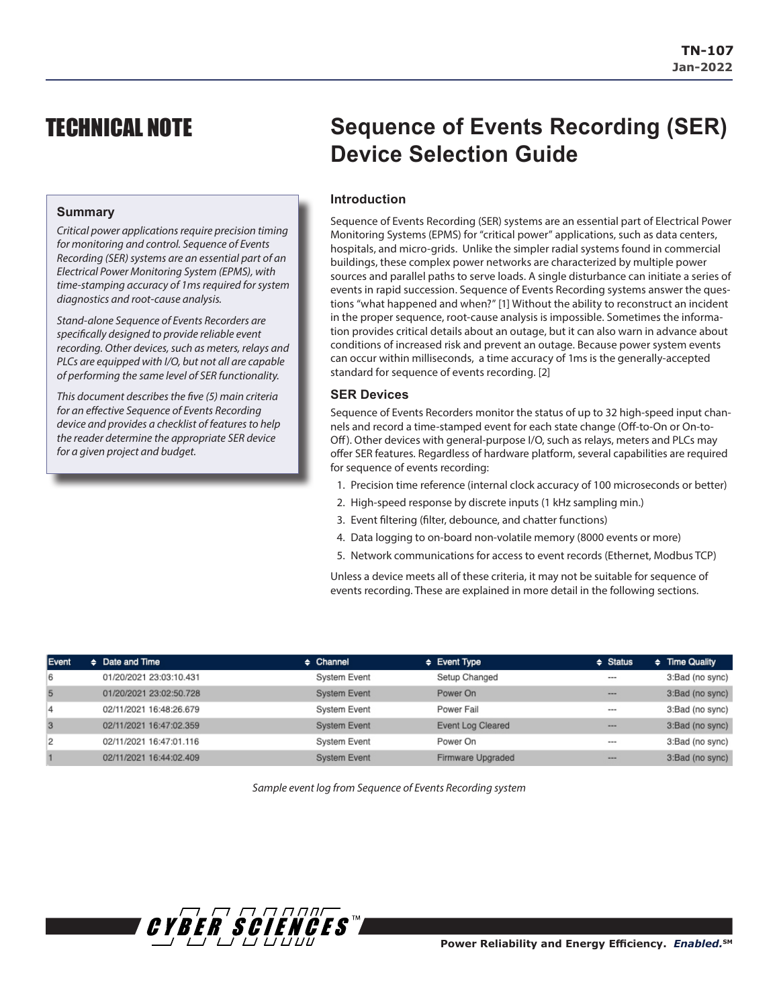# TECHNICAL NOTE

## **Summary**

*Critical power applications require precision timing for monitoring and control. Sequence of Events Recording (SER) systems are an essential part of an Electrical Power Monitoring System (EPMS), with time-stamping accuracy of 1ms required for system diagnostics and root-cause analysis.* 

*Stand-alone Sequence of Events Recorders are specifically designed to provide reliable event recording. Other devices, such as meters, relays and PLCs are equipped with I/O, but not all are capable of performing the same level of SER functionality.* 

*This document describes the five (5) main criteria for an effective Sequence of Events Recording device and provides a checklist of features to help the reader determine the appropriate SER device for a given project and budget.*

# **Sequence of Events Recording (SER) Device Selection Guide**

# **Introduction**

Sequence of Events Recording (SER) systems are an essential part of Electrical Power Monitoring Systems (EPMS) for "critical power" applications, such as data centers, hospitals, and micro-grids. Unlike the simpler radial systems found in commercial buildings, these complex power networks are characterized by multiple power sources and parallel paths to serve loads. A single disturbance can initiate a series of events in rapid succession. Sequence of Events Recording systems answer the questions "what happened and when?" [1] Without the ability to reconstruct an incident in the proper sequence, root-cause analysis is impossible. Sometimes the information provides critical details about an outage, but it can also warn in advance about conditions of increased risk and prevent an outage. Because power system events can occur within milliseconds, a time accuracy of 1ms is the generally-accepted standard for sequence of events recording. [2]

# **SER Devices**

Sequence of Events Recorders monitor the status of up to 32 high-speed input channels and record a time-stamped event for each state change (Off-to-On or On-to-Off). Other devices with general-purpose I/O, such as relays, meters and PLCs may offer SER features. Regardless of hardware platform, several capabilities are required for sequence of events recording:

- 1. Precision time reference (internal clock accuracy of 100 microseconds or better)
- 2. High-speed response by discrete inputs (1 kHz sampling min.)
- 3. Event filtering (filter, debounce, and chatter functions)
- 4. Data logging to on-board non-volatile memory (8000 events or more)
- 5. Network communications for access to event records (Ethernet, Modbus TCP)

Unless a device meets all of these criteria, it may not be suitable for sequence of events recording. These are explained in more detail in the following sections.

| Event | $\div$ Date and Time    | $\div$ Channel      | $\div$ Event Type | $\div$ Status | $\div$ Time Quality |
|-------|-------------------------|---------------------|-------------------|---------------|---------------------|
| 6     | 01/20/2021 23:03:10.431 | System Event        | Setup Changed     | ---           | 3:Bad (no sync)     |
| 5     | 01/20/2021 23:02:50.728 | <b>System Event</b> | Power On          | ---           | 3:Bad (no sync)     |
| 4     | 02/11/2021 16:48:26.679 | <b>System Event</b> | Power Fail        | ---           | 3:Bad (no sync)     |
| 3     | 02/11/2021 16:47:02.359 | <b>System Event</b> | Event Log Cleared | ---           | 3:Bad (no sync)     |
| 2     | 02/11/2021 16:47:01.116 | System Event        | Power On          | ---           | 3:Bad (no sync)     |
|       | 02/11/2021 16:44:02.409 | <b>System Event</b> | Firmware Upgraded | ---           | 3:Bad (no sync)     |

*Sample event log from Sequence of Events Recording system*

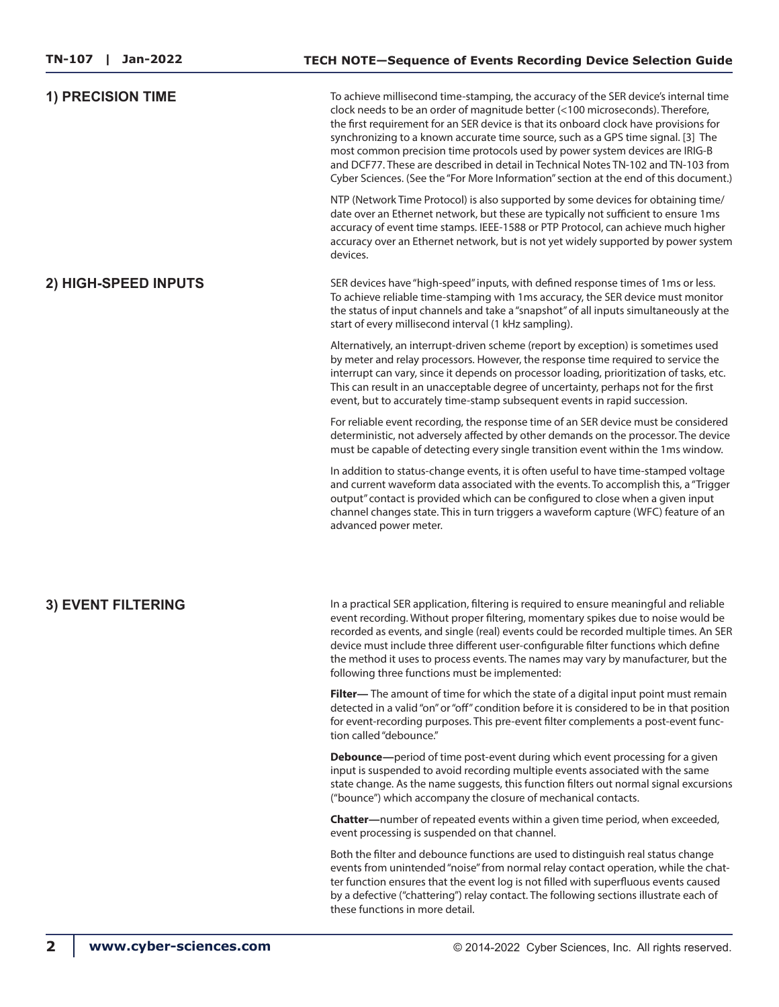| <b>1) PRECISION TIME</b>  | To achieve millisecond time-stamping, the accuracy of the SER device's internal time<br>clock needs to be an order of magnitude better (<100 microseconds). Therefore,<br>the first requirement for an SER device is that its onboard clock have provisions for<br>synchronizing to a known accurate time source, such as a GPS time signal. [3] The<br>most common precision time protocols used by power system devices are IRIG-B<br>and DCF77. These are described in detail in Technical Notes TN-102 and TN-103 from<br>Cyber Sciences. (See the "For More Information" section at the end of this document.) |  |  |
|---------------------------|---------------------------------------------------------------------------------------------------------------------------------------------------------------------------------------------------------------------------------------------------------------------------------------------------------------------------------------------------------------------------------------------------------------------------------------------------------------------------------------------------------------------------------------------------------------------------------------------------------------------|--|--|
|                           | NTP (Network Time Protocol) is also supported by some devices for obtaining time/<br>date over an Ethernet network, but these are typically not sufficient to ensure 1ms<br>accuracy of event time stamps. IEEE-1588 or PTP Protocol, can achieve much higher<br>accuracy over an Ethernet network, but is not yet widely supported by power system<br>devices.                                                                                                                                                                                                                                                     |  |  |
| 2) HIGH-SPEED INPUTS      | SER devices have "high-speed" inputs, with defined response times of 1ms or less.<br>To achieve reliable time-stamping with 1ms accuracy, the SER device must monitor<br>the status of input channels and take a "snapshot" of all inputs simultaneously at the<br>start of every millisecond interval (1 kHz sampling).                                                                                                                                                                                                                                                                                            |  |  |
|                           | Alternatively, an interrupt-driven scheme (report by exception) is sometimes used<br>by meter and relay processors. However, the response time required to service the<br>interrupt can vary, since it depends on processor loading, prioritization of tasks, etc.<br>This can result in an unacceptable degree of uncertainty, perhaps not for the first<br>event, but to accurately time-stamp subsequent events in rapid succession.                                                                                                                                                                             |  |  |
|                           | For reliable event recording, the response time of an SER device must be considered<br>deterministic, not adversely affected by other demands on the processor. The device<br>must be capable of detecting every single transition event within the 1ms window.                                                                                                                                                                                                                                                                                                                                                     |  |  |
|                           | In addition to status-change events, it is often useful to have time-stamped voltage<br>and current waveform data associated with the events. To accomplish this, a "Trigger<br>output" contact is provided which can be configured to close when a given input<br>channel changes state. This in turn triggers a waveform capture (WFC) feature of an<br>advanced power meter.                                                                                                                                                                                                                                     |  |  |
| <b>3) EVENT FILTERING</b> | In a practical SER application, filtering is required to ensure meaningful and reliable<br>event recording. Without proper filtering, momentary spikes due to noise would be<br>recorded as events, and single (real) events could be recorded multiple times. An SER<br>device must include three different user-configurable filter functions which define<br>the method it uses to process events. The names may vary by manufacturer, but the<br>following three functions must be implemented:                                                                                                                 |  |  |
|                           | Filter-The amount of time for which the state of a digital input point must remain<br>detected in a valid "on" or "off" condition before it is considered to be in that position<br>for event-recording purposes. This pre-event filter complements a post-event func-<br>tion called "debounce."                                                                                                                                                                                                                                                                                                                   |  |  |
|                           | <b>Debounce</b> —period of time post-event during which event processing for a given<br>input is suspended to avoid recording multiple events associated with the same<br>state change. As the name suggests, this function filters out normal signal excursions<br>("bounce") which accompany the closure of mechanical contacts.                                                                                                                                                                                                                                                                                  |  |  |
|                           | Chatter-number of repeated events within a given time period, when exceeded,<br>event processing is suspended on that channel.                                                                                                                                                                                                                                                                                                                                                                                                                                                                                      |  |  |
|                           | Both the filter and debounce functions are used to distinguish real status change<br>events from unintended "noise" from normal relay contact operation, while the chat-<br>ter function ensures that the event log is not filled with superfluous events caused<br>by a defective ("chattering") relay contact. The following sections illustrate each of<br>these functions in more detail.                                                                                                                                                                                                                       |  |  |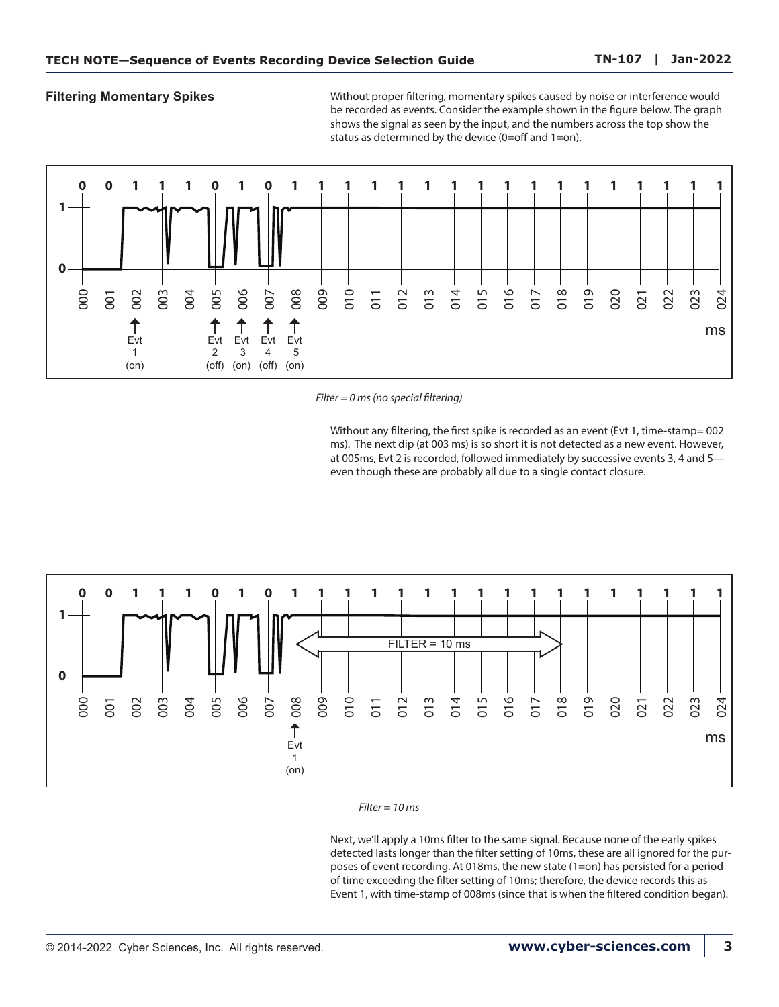**Filtering Momentary Spikes** Without proper filtering, momentary spikes caused by noise or interference would be recorded as events. Consider the example shown in the figure below. The graph shows the signal as seen by the input, and the numbers across the top show the status as determined by the device (0=off and 1=on).



*Filter = 0 ms (no special filtering)*

Without any filtering, the first spike is recorded as an event (Evt 1, time-stamp= 002 ms). The next dip (at 003 ms) is so short it is not detected as a new event. However, at 005ms, Evt 2 is recorded, followed immediately by successive events 3, 4 and 5 even though these are probably all due to a single contact closure.





Next, we'll apply a 10ms filter to the same signal. Because none of the early spikes detected lasts longer than the filter setting of 10ms, these are all ignored for the purposes of event recording. At 018ms, the new state (1=on) has persisted for a period of time exceeding the filter setting of 10ms; therefore, the device records this as Event 1, with time-stamp of 008ms (since that is when the filtered condition began).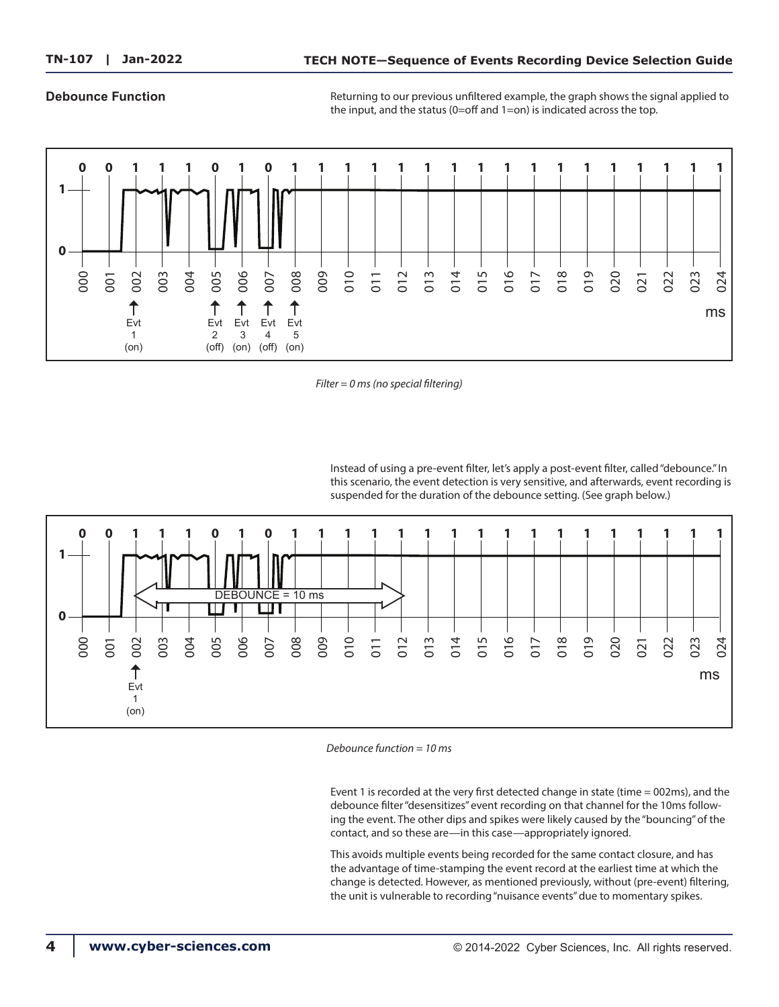### **Debounce Function**

Returning to our previous unfiltered example, the graph shows the signal applied to the input, and the status (0=off and 1=on) is indicated across the top.



*Filter = 0 ms (no special filtering)*

Instead of using a pre-event filter, let's apply a post-event filter, called "debounce." In this scenario, the event detection is very sensitive, and afterwards, event recording is suspended for the duration of the debounce setting. (See graph below.)



*Debounce function = 10 ms* 

Event 1 is recorded at the very first detected change in state (time = 002ms), and the debounce filter "desensitizes" event recording on that channel for the 10ms following the event. The other dips and spikes were likely caused by the "bouncing" of the contact, and so these are—in this case—appropriately ignored.

This avoids multiple events being recorded for the same contact closure, and has the advantage of time-stamping the event record at the earliest time at which the change is detected. However, as mentioned previously, without (pre-event) filtering, the unit is vulnerable to recording "nuisance events" due to momentary spikes.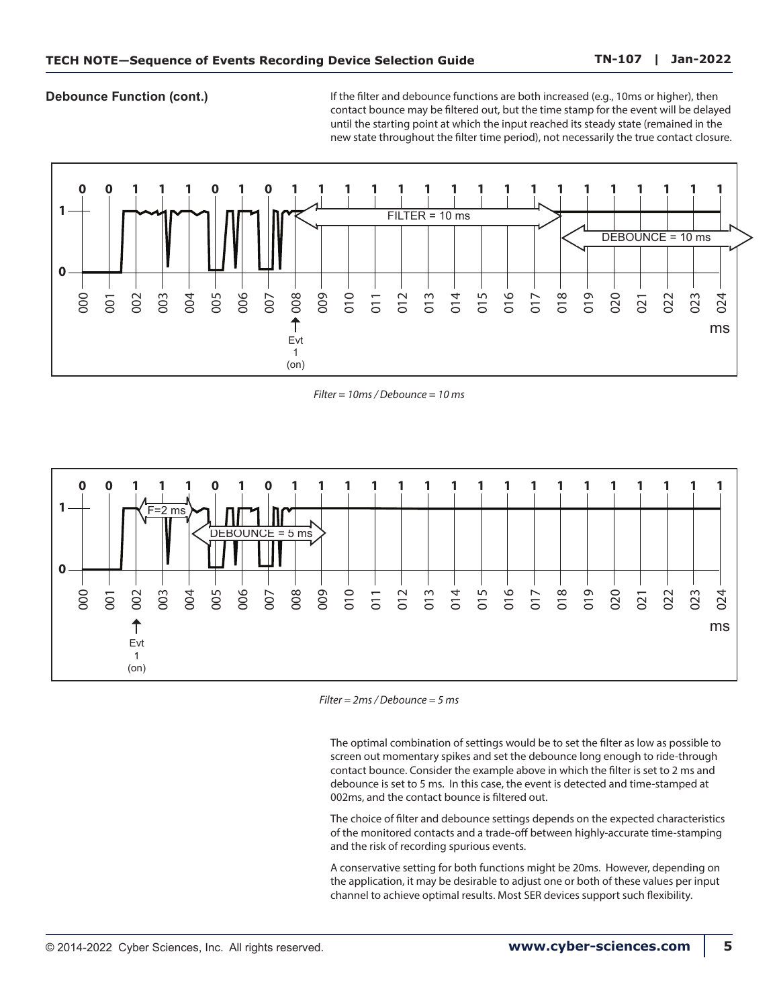**Debounce Function (cont.)**

If the filter and debounce functions are both increased (e.g., 10ms or higher), then contact bounce may be filtered out, but the time stamp for the event will be delayed until the starting point at which the input reached its steady state (remained in the new state throughout the filter time period), not necessarily the true contact closure.



*Filter = 10ms / Debounce = 10 ms* 



*Filter = 2ms / Debounce = 5 ms* 

The optimal combination of settings would be to set the filter as low as possible to screen out momentary spikes and set the debounce long enough to ride-through contact bounce. Consider the example above in which the filter is set to 2 ms and debounce is set to 5 ms. In this case, the event is detected and time-stamped at 002ms, and the contact bounce is filtered out.

The choice of filter and debounce settings depends on the expected characteristics of the monitored contacts and a trade-off between highly-accurate time-stamping and the risk of recording spurious events.

A conservative setting for both functions might be 20ms. However, depending on the application, it may be desirable to adjust one or both of these values per input channel to achieve optimal results. Most SER devices support such flexibility.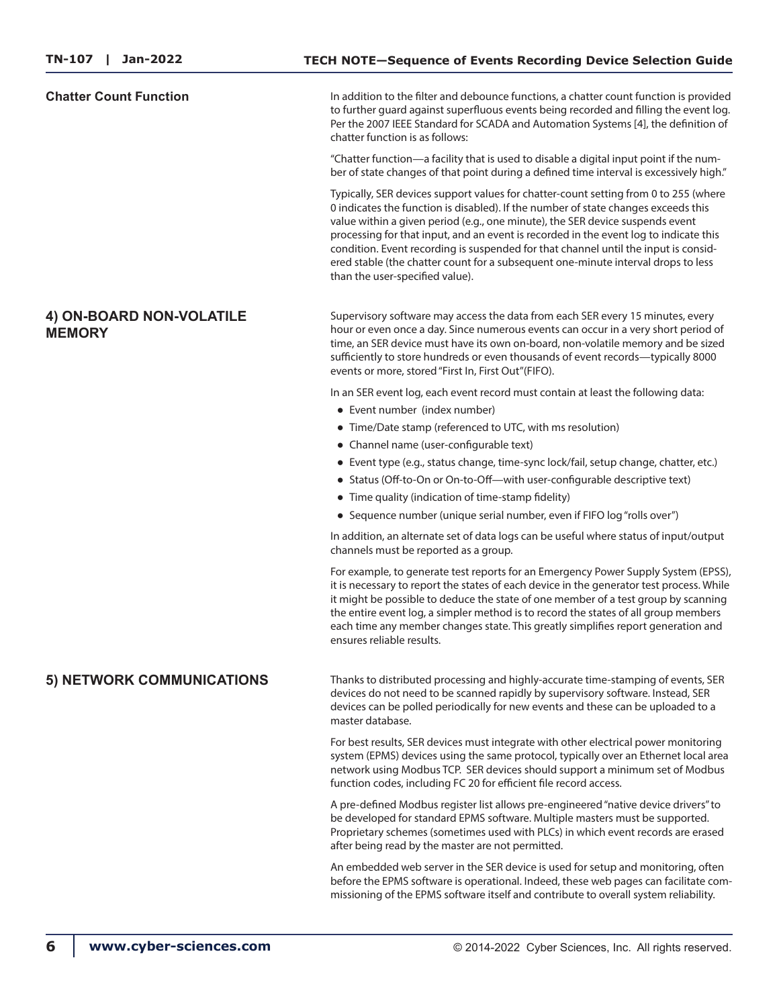**Chatter Count Function** In addition to the filter and debounce functions, a chatter count function is provided to further guard against superfluous events being recorded and filling the event log. Per the 2007 IEEE Standard for SCADA and Automation Systems [4], the definition of chatter function is as follows:

> "Chatter function—a facility that is used to disable a digital input point if the number of state changes of that point during a defined time interval is excessively high."

> Typically, SER devices support values for chatter-count setting from 0 to 255 (where 0 indicates the function is disabled). If the number of state changes exceeds this value within a given period (e.g., one minute), the SER device suspends event processing for that input, and an event is recorded in the event log to indicate this condition. Event recording is suspended for that channel until the input is considered stable (the chatter count for a subsequent one-minute interval drops to less than the user-specified value).

# **4) ON-BOARD NON-VOLATILE MEMORY**

Supervisory software may access the data from each SER every 15 minutes, every hour or even once a day. Since numerous events can occur in a very short period of time, an SER device must have its own on-board, non-volatile memory and be sized sufficiently to store hundreds or even thousands of event records—typically 8000 events or more, stored "First In, First Out"(FIFO).

In an SER event log, each event record must contain at least the following data:

- Event number (index number)
- Time/Date stamp (referenced to UTC, with ms resolution)
- Channel name (user-configurable text)
- Event type (e.g., status change, time-sync lock/fail, setup change, chatter, etc.)
- Status (Off-to-On or On-to-Off—with user-configurable descriptive text)
- Time quality (indication of time-stamp fidelity)
- Sequence number (unique serial number, even if FIFO log "rolls over")

In addition, an alternate set of data logs can be useful where status of input/output channels must be reported as a group.

For example, to generate test reports for an Emergency Power Supply System (EPSS), it is necessary to report the states of each device in the generator test process. While it might be possible to deduce the state of one member of a test group by scanning the entire event log, a simpler method is to record the states of all group members each time any member changes state. This greatly simplifies report generation and ensures reliable results.

# **5) NETWORK COMMUNICATIONS**

Thanks to distributed processing and highly-accurate time-stamping of events, SER devices do not need to be scanned rapidly by supervisory software. Instead, SER devices can be polled periodically for new events and these can be uploaded to a master database.

For best results, SER devices must integrate with other electrical power monitoring system (EPMS) devices using the same protocol, typically over an Ethernet local area network using Modbus TCP. SER devices should support a minimum set of Modbus function codes, including FC 20 for efficient file record access.

A pre-defined Modbus register list allows pre-engineered "native device drivers" to be developed for standard EPMS software. Multiple masters must be supported. Proprietary schemes (sometimes used with PLCs) in which event records are erased after being read by the master are not permitted.

An embedded web server in the SER device is used for setup and monitoring, often before the EPMS software is operational. Indeed, these web pages can facilitate commissioning of the EPMS software itself and contribute to overall system reliability.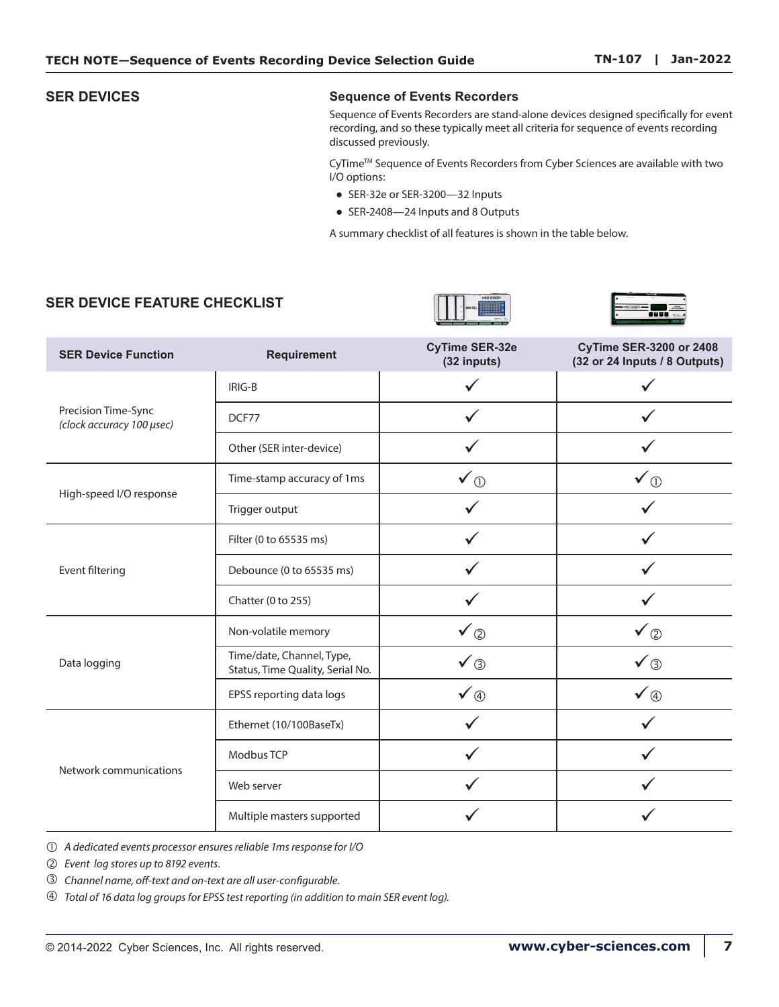### **SER DEVICES Sequence of Events Recorders**

Sequence of Events Recorders are stand-alone devices designed specifically for event recording, and so these typically meet all criteria for sequence of events recording discussed previously.

CyTime<sup>™</sup> Sequence of Events Recorders from Cyber Sciences are available with two I/O options:

- SER-32e or SER-3200-32 Inputs
- SER-2408-24 Inputs and 8 Outputs

A summary checklist of all features is shown in the table below.

# **SER DEVICE FEATURE CHECKLIST**





| <b>SER Device Function</b>                       | <b>Requirement</b>                                            | <b>CyTime SER-32e</b><br>(32 inputs) | <b>CyTime SER-3200 or 2408</b><br>(32 or 24 Inputs / 8 Outputs) |  |
|--------------------------------------------------|---------------------------------------------------------------|--------------------------------------|-----------------------------------------------------------------|--|
|                                                  | IRIG-B                                                        |                                      |                                                                 |  |
| Precision Time-Sync<br>(clock accuracy 100 µsec) | DCF77                                                         |                                      |                                                                 |  |
|                                                  | Other (SER inter-device)                                      |                                      |                                                                 |  |
|                                                  | Time-stamp accuracy of 1ms                                    | $\checkmark$                         | $\checkmark$ $\circledcirc$                                     |  |
| High-speed I/O response                          | Trigger output                                                |                                      |                                                                 |  |
|                                                  | Filter (0 to 65535 ms)                                        |                                      |                                                                 |  |
| Event filtering                                  | Debounce (0 to 65535 ms)                                      |                                      |                                                                 |  |
|                                                  | Chatter (0 to 255)                                            |                                      |                                                                 |  |
|                                                  | Non-volatile memory                                           | ✔②                                   | $\checkmark$ $\circledcirc$                                     |  |
| Data logging                                     | Time/date, Channel, Type,<br>Status, Time Quality, Serial No. | $\checkmark$                         | $\checkmark$                                                    |  |
|                                                  | EPSS reporting data logs                                      | $\checkmark$ 4                       | $\checkmark$ 4                                                  |  |
|                                                  | Ethernet (10/100BaseTx)                                       |                                      |                                                                 |  |
|                                                  | Modbus TCP                                                    |                                      |                                                                 |  |
| Network communications                           | Web server                                                    |                                      |                                                                 |  |
|                                                  | Multiple masters supported                                    |                                      |                                                                 |  |

 *A dedicated events processor ensures reliable 1ms response for I/O*

 *Event log stores up to 8192 events.*

 *Channel name, off-text and on-text are all user-configurable.*

 *Total of 16 data log groups for EPSS test reporting (in addition to main SER event log).*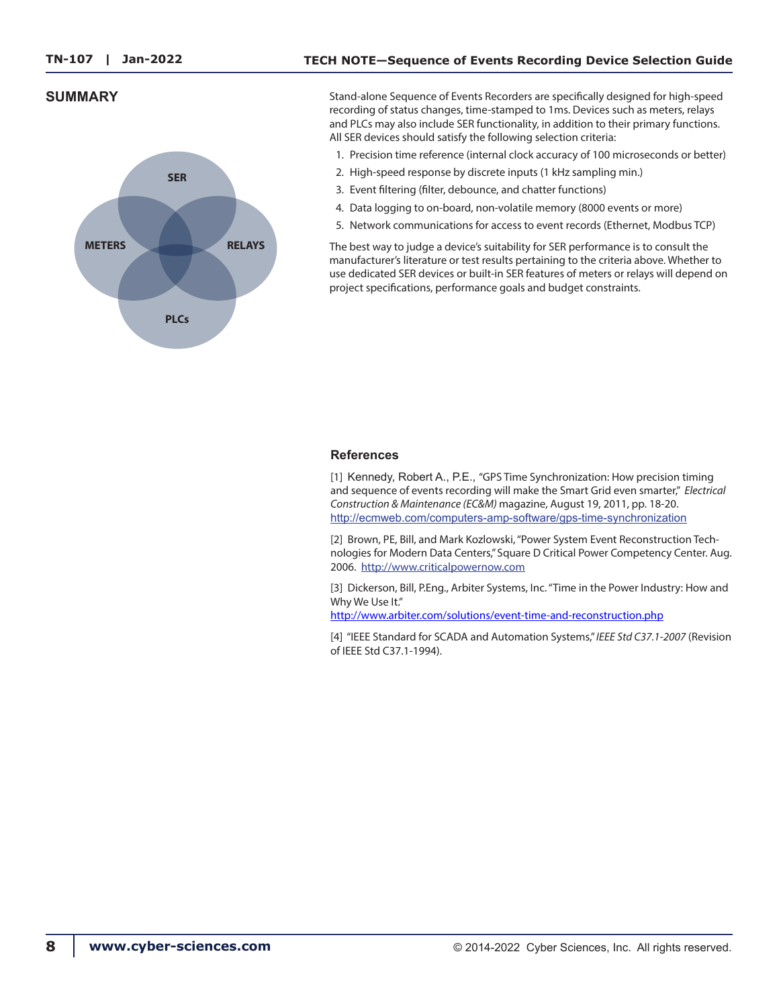### **TECH NOTE—Sequence of Events Recording Device Selection Guide**

# **SUMMARY**



Stand-alone Sequence of Events Recorders are specifically designed for high-speed recording of status changes, time-stamped to 1ms. Devices such as meters, relays and PLCs may also include SER functionality, in addition to their primary functions. All SER devices should satisfy the following selection criteria:

- 1. Precision time reference (internal clock accuracy of 100 microseconds or better)
- 2. High-speed response by discrete inputs (1 kHz sampling min.)
- 3. Event filtering (filter, debounce, and chatter functions)
- 4. Data logging to on-board, non-volatile memory (8000 events or more)
- 5. Network communications for access to event records (Ethernet, Modbus TCP)

The best way to judge a device's suitability for SER performance is to consult the manufacturer's literature or test results pertaining to the criteria above. Whether to use dedicated SER devices or built-in SER features of meters or relays will depend on project specifications, performance goals and budget constraints.

### **References**

[1] Kennedy, Robert A., P.E., "GPS Time Synchronization: How precision timing and sequence of events recording will make the Smart Grid even smarter," *Electrical Construction & Maintenance (EC&M)* magazine, August 19, 2011, pp. 18-20. <http://ecmweb.com/computers-amp-software/gps-time-synchronization>

[2] Brown, PE, Bill, and Mark Kozlowski, "Power System Event Reconstruction Technologies for Modern Data Centers," Square D Critical Power Competency Center. Aug. 2006. http:/[/www.criticalpowernow.com](http://www.criticalpowernow.com)

[3] Dickerson, Bill, P.Eng., Arbiter Systems, Inc. "Time in the Power Industry: How and Why We Use It."

[http://www.arbiter.com/solutions/event-time-and-reconstruction.php](http://www.arbiter.com/files/product-attachments/TimeInThePowerIndustry.pdf)

[4] "IEEE Standard for SCADA and Automation Systems," *IEEE Std C37.1-2007* (Revision of IEEE Std C37.1-1994).